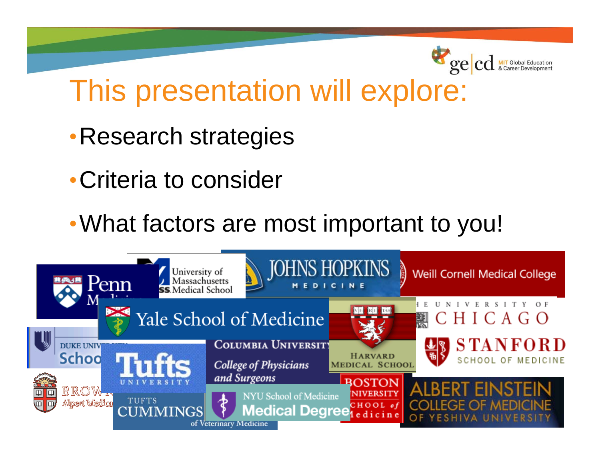

### This presentation will explore:

- •Research strategies
- •Criteria to consider
- •What factors are most important to you!

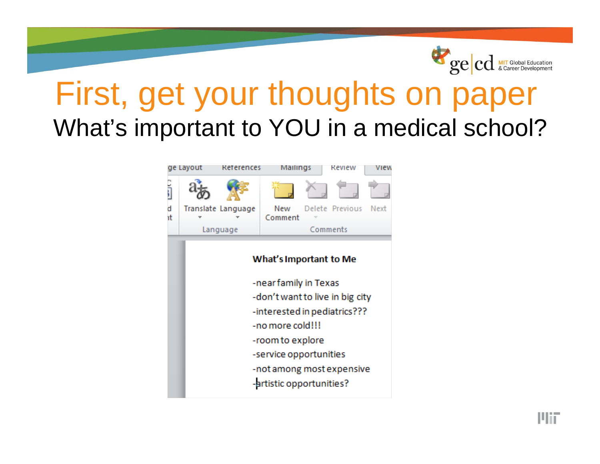

# First, get your thoughts on paper What's important to YOU in a medical school?

| ge Layout |  | References                                                                                                                                                                                                                                    | Mailings       |          | Review          | View |  |  |
|-----------|--|-----------------------------------------------------------------------------------------------------------------------------------------------------------------------------------------------------------------------------------------------|----------------|----------|-----------------|------|--|--|
|           |  |                                                                                                                                                                                                                                               |                |          |                 |      |  |  |
| d<br>۱t   |  | Translate Language                                                                                                                                                                                                                            | New<br>Comment |          | Delete Previous | Next |  |  |
|           |  | Language                                                                                                                                                                                                                                      |                | Comments |                 |      |  |  |
|           |  | What's Important to Me<br>-near family in Texas<br>-don't want to live in big city<br>-interested in pediatrics???<br>-no more cold!!!<br>-room to explore<br>-service opportunities<br>-not among most expensive<br>-artistic opportunities? |                |          |                 |      |  |  |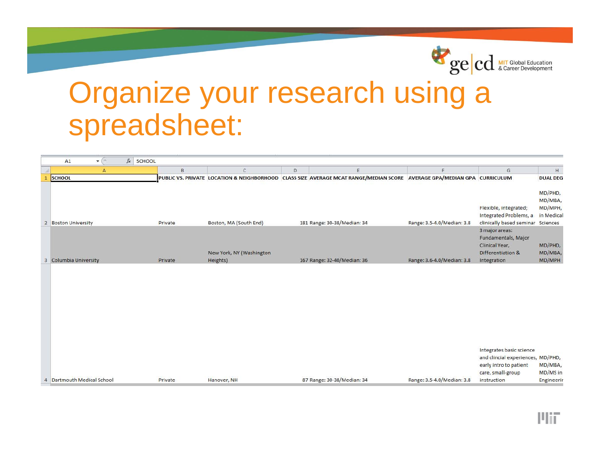

# **Organize your research using a** spreadsheet:

| $f_x$ SCHOOL<br>A1<br>$ ($                            |                                                    |                                                                                                                         |                            |                                                                                                                             |                                                                |
|-------------------------------------------------------|----------------------------------------------------|-------------------------------------------------------------------------------------------------------------------------|----------------------------|-----------------------------------------------------------------------------------------------------------------------------|----------------------------------------------------------------|
| B<br>A                                                | $\mathsf{C}$                                       | $\mathsf D$<br>E                                                                                                        | F                          | G                                                                                                                           | H                                                              |
| <b>SCHOOL</b>                                         |                                                    | PUBLIC VS. PRIVATE LOCATION & NEIGHBORHOOD CLASS SIZE AVERAGE MCAT RANGE/MEDIAN SCORE AVERAGE GPA/MEDIAN GPA CURRICULUM |                            | Flexible, integrated;<br>Integrated Problems, a                                                                             | <b>DUAL DEG</b><br>MD/PHD,<br>MD/MBA,<br>MD/MPH,<br>in Medical |
| <b>Boston University</b><br>Private<br>$\overline{2}$ | Boston, MA (South End)<br>New York, NY (Washington | 181 Range: 30-38/Median: 34                                                                                             | Range: 3.5-4.0/Median: 3.8 | clinically based seminar Sciences<br>3 major areas:<br>Fundamentals, Major<br>Clinical Year,<br>Differentiation &           | MD/PHD,<br>MD/MBA,                                             |
| <b>Columbia University</b><br>Private<br>3            | Heights)                                           | 167 Range: 32-40/Median: 36                                                                                             | Range: 3.6-4.0/Median: 3.8 | Integration<br>Integrates basic science<br>and clincial experiences, MD/PHD,<br>early intro to patient<br>care, small-group | MD/MPH<br>MD/MBA,<br>MD/MS in                                  |
| Dartmouth Medical School<br>Private<br>$\overline{4}$ | Hanover, NH                                        | 87 Range: 30-38/Median: 34                                                                                              | Range: 3.5-4.0/Median: 3.8 | instruction                                                                                                                 | Engineerin                                                     |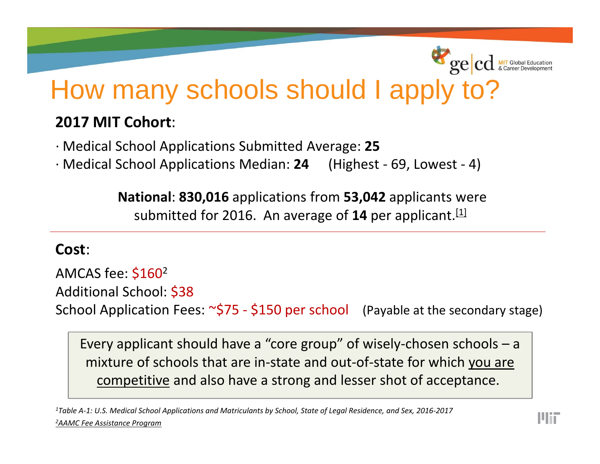

### How many schools should I apply to?

### **2017 MIT Cohort**:

- ∙ Medical School Applications Submitted Average: **25**
- ∙ Medical School Applications Median: **24** (Highest ‐ 69, Lowest ‐ 4)

**National**: **830,016** applications from **53,042** applicants were submitted for 2016. An average of  $14$  per applicant. $^{\rm [1]}$ 

#### **Cost**:

AMCAS fee: \$160<sup>2</sup> Additional School: \$38 School Application Fees: ~\$75 - \$150 per school (Payable at the secondary stage)

Every applicant should have a "core group" of wisely ‐chosen schools – <sup>a</sup> mixture of schools that are in-state and out-of-state for which <u>you are</u> competitive and also have a strong and lesser shot of acceptance.

*2AAMC Fee Assistance Program*  $^1$ Table A-1: U.S. Medical School Applications and Matriculants by School, State of Legal Residence, and Sex, 2016-2017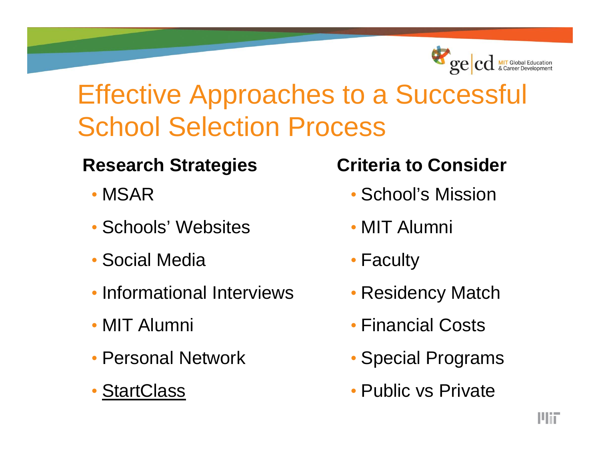

### Effective Approaches to a Successful School Selection Process

### **Research Strategies**

- MSAR
- Schools' Websites
- Social Media
- Informational Interviews
- MIT Alumni
- Personal Network
- StartClass

### **Criteria to Consider**

- School's Mission
- MIT Alumni
- Faculty
- Residency Match
- Financial Costs
- Special Programs
- Public vs Private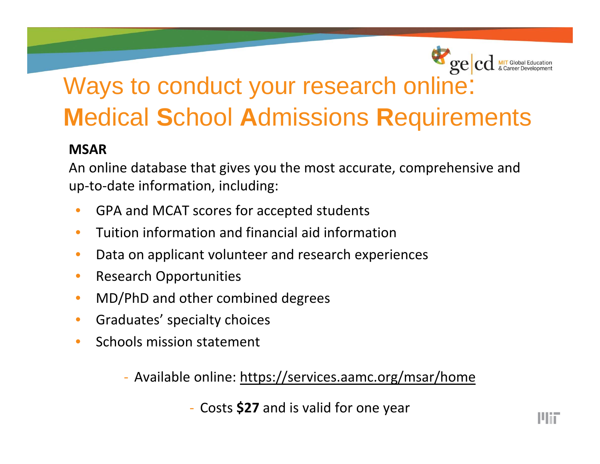

### Ways to conduct your research online: **M**edical **S**chool **A**dmissions **R**equirements

#### **MSAR**

An online database that gives you the most accurate, comprehensive and up ‐to ‐date information, including:

- •**• GPA and MCAT scores for accepted students**
- •**•** Tuition information and financial aid information
- $\bullet$ • Data on applicant volunteer and research experiences
- $\bullet$ • Research Opportunities
- $\bullet$ MD/PhD and other combined degrees
- •Graduates' specialty choices
- •**•** Schools mission statement

‐ Available online: https://services.aamc.org/msar/home

‐ Costs **\$27** and is valid for one year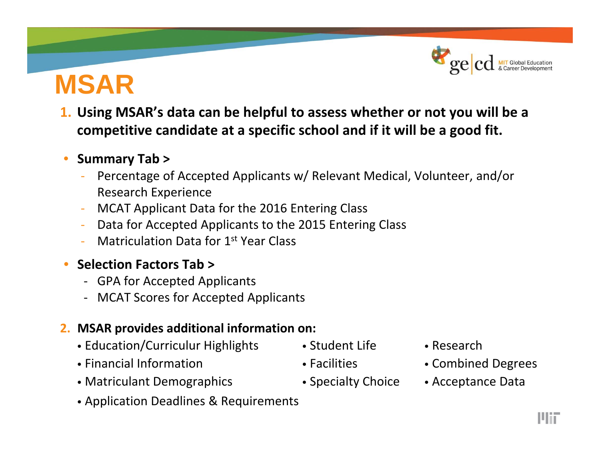### **MSAR**

**1. Using MSAR's data can be helpful to assess whether or not you will be <sup>a</sup> competitive candidate at <sup>a</sup> specific school and if it will be <sup>a</sup> good fit.**

#### •**Summary Tab <sup>&</sup>gt;**

- Percentage of Accepted Applicants w/ Relevant Medical, Volunteer, and/or Research Experience
- MCAT Applicant Data for the 2016 Entering Class
- Data for Accepted Applicants to the 2015 Entering Class
- Matriculation Data for 1st Year Class

#### •**Selection Factors Tab <sup>&</sup>gt;**

- ‐ GPA for Accepted Applicants
- ‐ MCAT Scores for Accepted Applicants

#### **2. MSAR provides additional information on:**

- Education/Curriculur Highlights Student Life Research
- · Financial Information
- Matriculant Demographics Specialty Choice Acceptance Data
- 
- 
- 
- 
- Facilities Combined Degrees
	-

· Application Deadlines & Requirements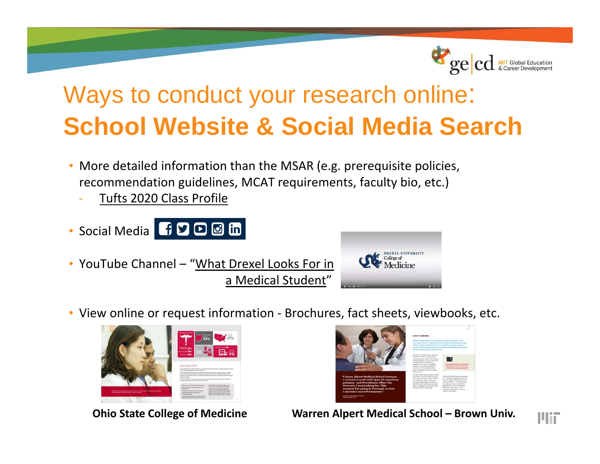

### Ways to conduct your research online: **School Website & Social Media Search**

- More detailed information than the MSAR (e.g. prerequisite policies, recommendation guidelines, MCAT requirements, faculty bio, etc.)
	- Tufts 2020 Class Profile
- Social Media
- YouTube Channel "What Drexel Looks For in a Medical Student"



• View online or request information - Brochures, fact sheets, viewbooks, etc.



**Ohio State College of Medicine** 



**Warren Alpert Medical School – Brown Univ.**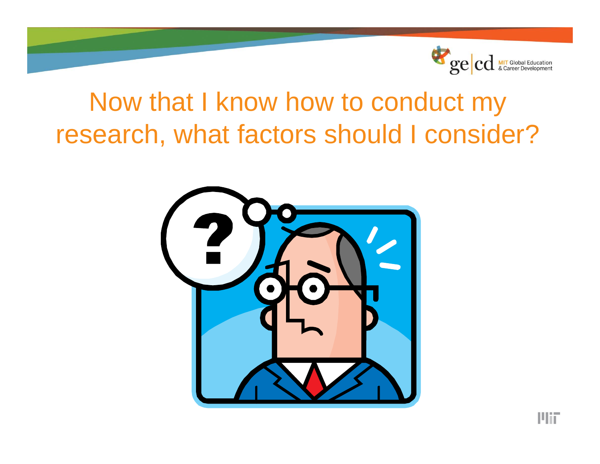

### Now that I know how to conduct my research, what factors should I consider?

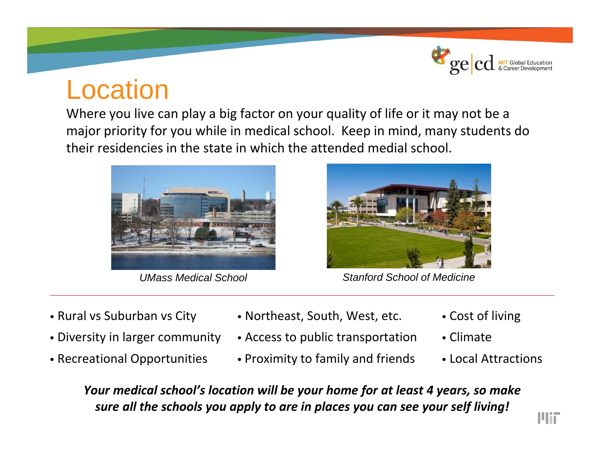

### Location

Where you live can play <sup>a</sup> big factor on your quality of life or it may not be <sup>a</sup> major priority for you while in medical school. Keep in mind, many students do their residencies in the state in which the attended medial school.





*UMass Medical School Stanford School of Medicine*

- · Rural vs Suburban
- 
- Recreational Opportunities
- Northeast, South, West, etc. Cost of living
- Diversity in larger community Access to public transportation Climate
	- Proximity to family and friends Local Attractions
- 
- 
- 

*Your medical school's location will be your home for at least 4 years, so make sure all the schools you apply to are in places you can see your self living!*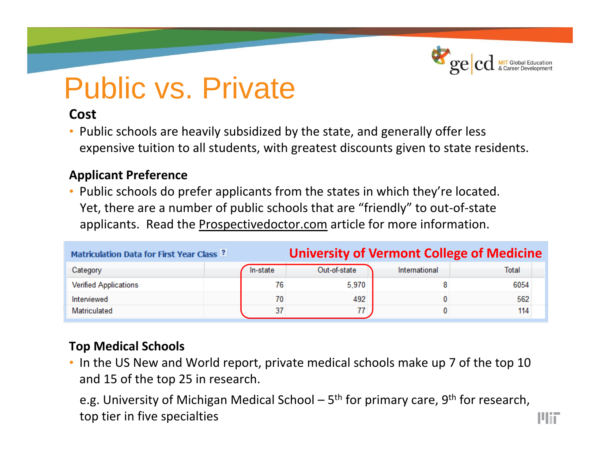

# Public vs. Private

#### **Cost**

• Public schools are heavily subsidized by the state, and generally offer less expensive tuition to all students, with greatest discounts given to state residents.

#### **Applicant Preference**

• Public schools do prefer applicants from the states in which they're located. Yet, there are a number of public schools that are "friendly" to out‐of‐state applicants. Read the **Prospectivedoctor.com** article for more information.

| Matriculation Data for First Year Class ? | <b>University of Vermont College of Medicine</b> |              |               |       |  |
|-------------------------------------------|--------------------------------------------------|--------------|---------------|-------|--|
| Category                                  | In-state                                         | Out-of-state | International | Total |  |
| <b>Verified Applications</b>              | 76                                               | 5.970        |               | 6054  |  |
| Interviewed                               | 70                                               | 492          |               | 562   |  |
| Matriculated                              | 37                                               | 77.          |               |       |  |

#### **Top Medical Schools**

• In the US New and World report, private medical schools make up 7 of the top 10 and 15 of the top 25 in research.

e.g. University of Michigan Medical School – 5<sup>th</sup> for primary care, 9<sup>th</sup> for research, top tier in five specialties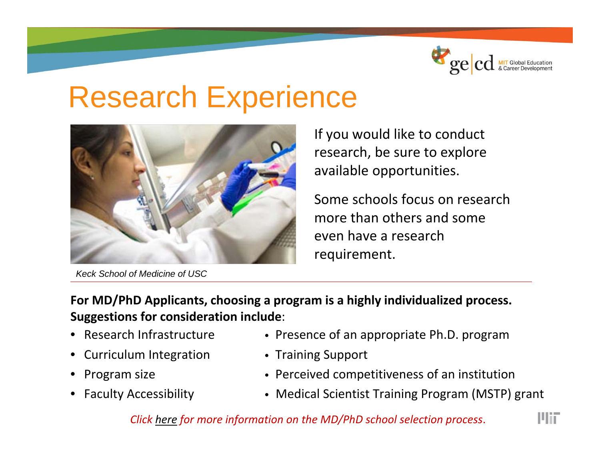

### Research Experience



*Keck School of Medicine of USC*

If you would like to conduct research, be sure to explore available opportunities.

Some schools focus on research more than others and some even have a researchrequirement.

**For MD/PhD Applicants, choosing a program is a highly individualized process. Suggestions for consideration include**:

- Research
- •**Curriculum Integration**
- •
- Faculty Accessibility
- Presence of an appropriate Ph.D. program
- Training Support
- Program size **· Perceived competitiveness of an institution** 
	- Medical Scientist Training Program (MSTP) grant

*Click here for more information on the MD/PhD school selection process*.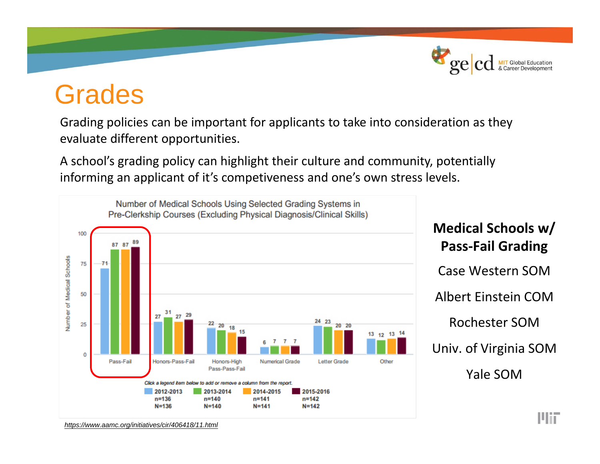

### Grades

Grading policies can be important for applicants to take into consideration as they evaluate different opportunities.

A school's grading policy can highlight their culture and community, potentially informing an applicant of it's competiveness and one's own stress levels.



*https://www.aamc.org/initiatives/cir/406418/11.html*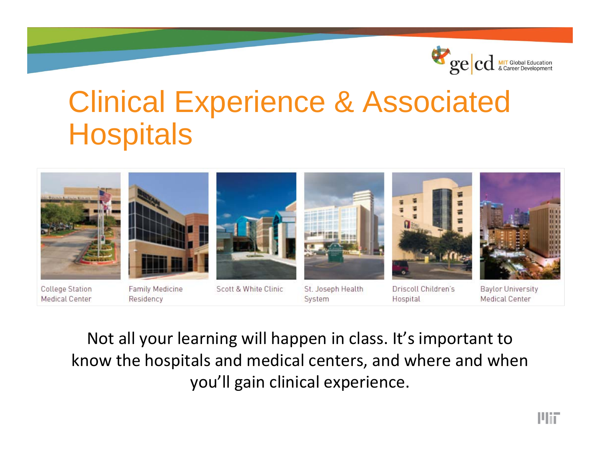

## Clinical Experience & Associated **Hospitals**



**College Station Medical Center** 

**Family Medicine** Residency

Scott & White Clinic

St. Joseph Health System

Driscoll Children's Hospital

**Baylor University Medical Center** 

Not all your learning will happen in class. It's important to know the hospitals and medical centers, and where and when you'll gain clinical experience.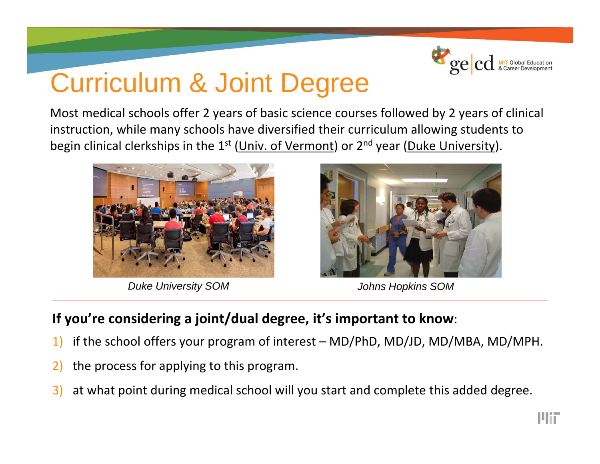

# Curriculum & Joint Degree

Most medical schools offer 2 years of basic science courses followed by 2 years of clinical instruction, while many schools have diversified their curriculum allowing students to begin clinical clerkships in the 1<sup>st</sup> (<u>Univ. of Vermont</u>) or 2<sup>nd</sup> year (<u>Duke University</u>).



*Duke University SOM Johns Hopkins SOM*



#### **If you're considering a joint/dual degree, it's important to know**:

- 1) if the school offers your program of interest MD/PhD, MD/JD, MD/MBA, MD/MPH.
- 2) the process for applying to this program.
- 3) at what point during medical school will you start and complete this added degree.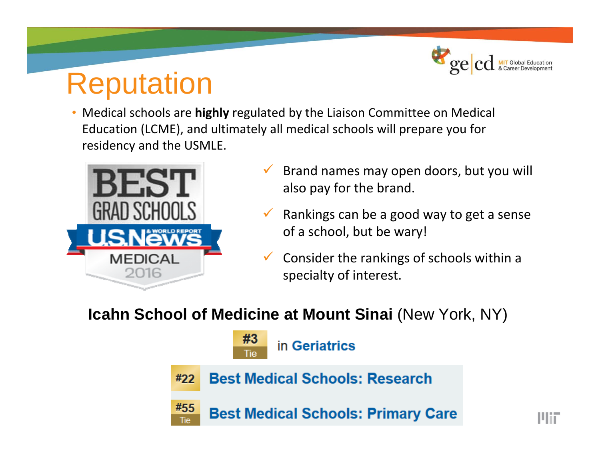

### Reputation

• Medical schools are **highly** regulated by the Liaison Committee on Medical Education (LCME), and ultimately all medical schools will prepare you for residency and the USMLE.



- $\checkmark$  Brand names may open doors, but you will also pay for the brand.
- $\checkmark$  Rankings can be a good way to get a sense of a school, but be wary!
- $\checkmark$  Consider the rankings of schools within <sup>a</sup> specialty of interest.

### **Icahn School of Medicine at Mount Sinai** (New York, NY)

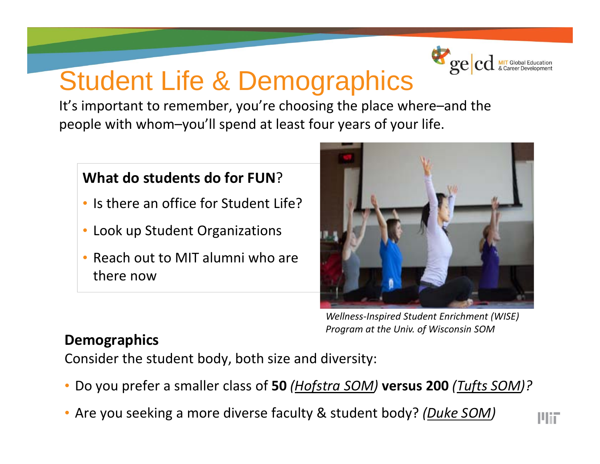

### Student Life & Demographics

It's important to remember, you're choosing the place where–and the people with whom–you'll spend at least four years of your life.

#### **What do students do for FUN**?

- Is there an office for Student Life?
- Look up Student Organizations
- •• Reach out to MIT alumni who are there now



*Wellness‐Inspired Student Enrichment (WISE) Program at the Univ. of Wisconsin SOM* **Demographics**

Consider the student body, both size and diversity:

- Do you prefer a smaller class of **50** *(Hofstra SOM)* **versus 200** *(Tufts SOM)?*
- Are you seeking a more diverse faculty & student body? *(Duke SOM)*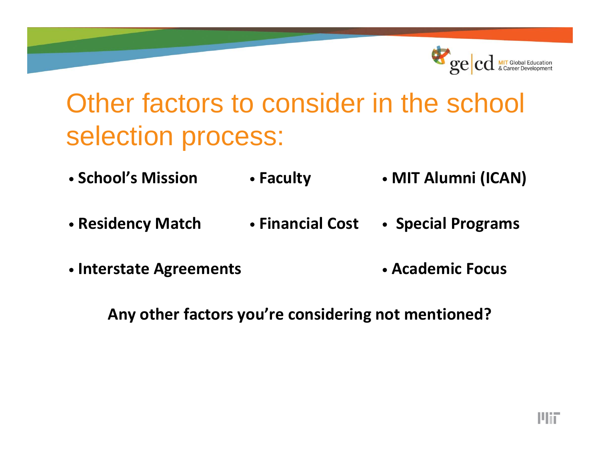

### Other factors to consider in the school selection process:

- · **School's Mission**· **Faculty** · **MIT Alumni (ICAN)**
- · **Residency Match** · **Financial Cost** · **Special Programs**
- · **Interstate Agreements** · **Academic Focus**
	- **Any other factors you're considering not mentioned?**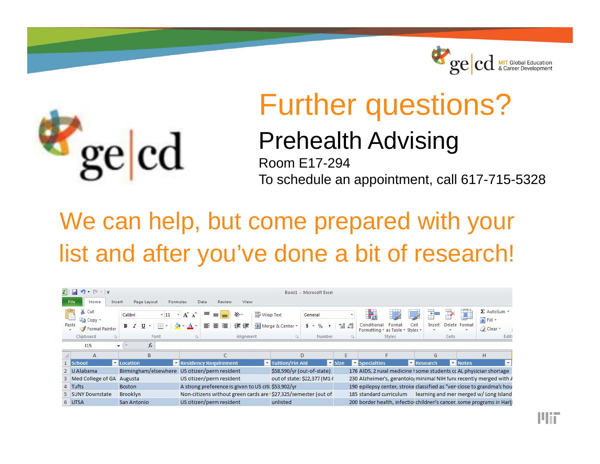



## Further questions?

### Prehealth Advising

Room E17-294To schedule an appointment, call 617-715-5328

### We can help, but come prepared with your list and after you've done a bit of research!

| <b>XIE</b><br>$\mathbb{E} \mathbf{y} = \mathbb{E} \mathbb{E} \times \mathbf{y}$<br>Book1 - Microsoft Excel<br>File<br>View<br>Home<br>Page Layout<br>Data<br>Review<br>Insert<br>Formulas |                                                         |                                                     |                                                                                                                |                                                                        |                   |                                                                                    |          |                                                                         |
|-------------------------------------------------------------------------------------------------------------------------------------------------------------------------------------------|---------------------------------------------------------|-----------------------------------------------------|----------------------------------------------------------------------------------------------------------------|------------------------------------------------------------------------|-------------------|------------------------------------------------------------------------------------|----------|-------------------------------------------------------------------------|
|                                                                                                                                                                                           | & Cut<br><sub>a</sub> Copy ▼<br>Paste<br>Format Painter | $-11$<br>Calibri<br>$\tau$<br>B I<br>U<br><b>MA</b> | <b>Text</b> Wrap Text<br>$A^A$<br>$x^2$<br>≡<br>$\equiv$<br>使精<br>這<br>目<br>亖<br>$\mathcal{R}$<br>$\mathbf{A}$ | General<br>-a- Merge & Center *<br>$s -$<br>$\frac{0}{2}$<br>$, \, \,$ | $-60.00$          | $\frac{1}{2}$<br>Cell<br>Conditional<br>Format<br>Formatting v as Table v Styles v | Insert   | $\Sigma$ AutoSum $\sim$<br>الول<br>Fill *<br>Delete Format<br>O Clear - |
|                                                                                                                                                                                           | Clipboard<br>Γü.                                        | Font                                                | Alignment<br>反                                                                                                 | Number<br>应                                                            | $\overline{12}$   | Styles                                                                             | Cells    | Editi                                                                   |
|                                                                                                                                                                                           | $f_x$<br><b>115</b><br>$\overline{\phantom{a}}$         |                                                     |                                                                                                                |                                                                        |                   |                                                                                    |          |                                                                         |
|                                                                                                                                                                                           | A                                                       | B                                                   |                                                                                                                |                                                                        |                   |                                                                                    | G        | H                                                                       |
|                                                                                                                                                                                           | <b>School</b>                                           | Location                                            | Residency Requirement                                                                                          | <b>Z</b> Tuition/Fin Aid                                               | $\mathbf{v}$ Size | Specialties                                                                        | Research | <b>Vi</b> Notes<br>$\mathbf{v}$                                         |
|                                                                                                                                                                                           | 2 U Alabama                                             | Birmingham/elsewhere                                | US citizen/perm resident                                                                                       | \$58,590/yr (out-of-state)                                             |                   | 176 AIDS, 2 rural medicine I some students cc AL physician shortage                |          |                                                                         |
|                                                                                                                                                                                           | Med College of GA                                       | Augusta                                             | US citizen/perm resident                                                                                       | out of state: \$22,377 (M1-I                                           |                   | 230 Alzheimer's, gerantolo; minimal NIH funcrecently merged with A                 |          |                                                                         |
|                                                                                                                                                                                           | 4 Tufts                                                 | <b>Boston</b>                                       | A strong preference is given to US citi: \$53,902/yr                                                           |                                                                        |                   | 190 epilepsy center, stroke classified as "ver close to grandma's hou              |          |                                                                         |
|                                                                                                                                                                                           | 5 SUNY Downstate                                        | <b>Brooklyn</b>                                     | Non-citizens without green cards are 1\$27,325/semester (out of                                                |                                                                        |                   | 185 standard curriculum                                                            |          | learning and mer merged w/ Long Island                                  |
|                                                                                                                                                                                           | 6 UTSA                                                  | San Antonio                                         | US citizen/perm resident                                                                                       | unlisted                                                               |                   |                                                                                    |          | 200 border health, infection children's cancer, some programs in Harli  |